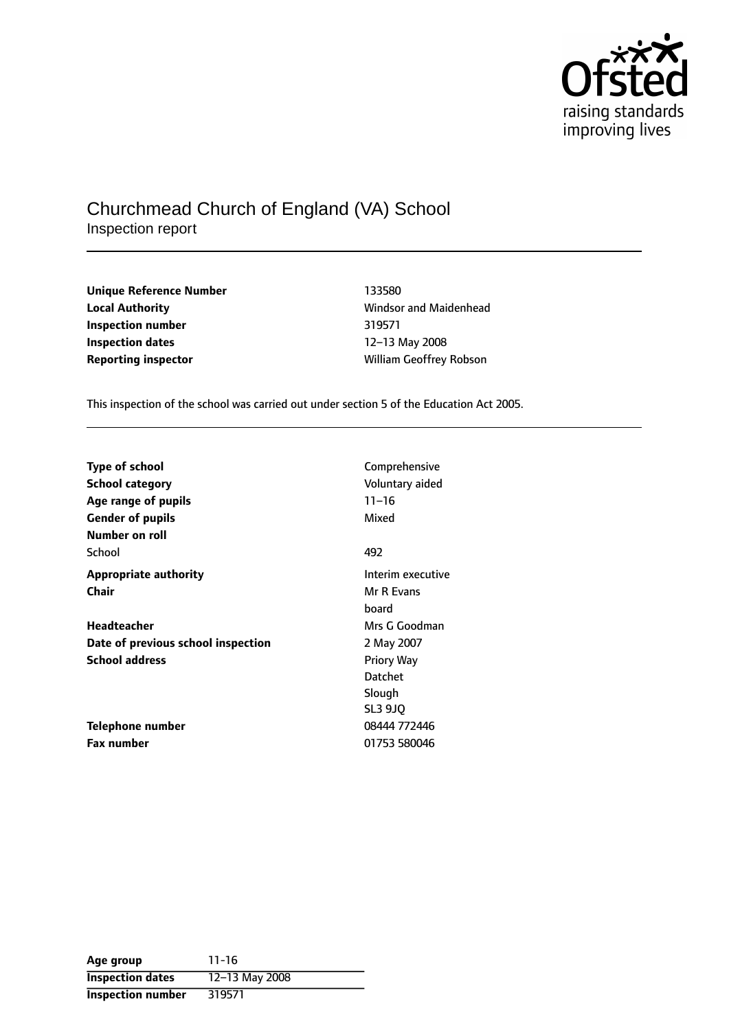

# Churchmead Church of England (VA) School Inspection report

**Unique Reference Number** 133580 **Local Authority Constanting Constanting Manual Manual Authority** Windsor and Maidenhead **Inspection number** 319571 **Inspection dates** 12–13 May 2008

**Reporting inspector and CES in the UPS CONTERNATION** William Geoffrey Robson

This inspection of the school was carried out under section 5 of the Education Act 2005.

| <b>Type of school</b>              | Comprehensive     |
|------------------------------------|-------------------|
| <b>School category</b>             | Voluntary aided   |
| Age range of pupils                | $11 - 16$         |
| <b>Gender of pupils</b>            | Mixed             |
| Number on roll                     |                   |
| School                             | 492               |
| <b>Appropriate authority</b>       | Interim executive |
| Chair                              | Mr R Evans        |
|                                    | board             |
| Headteacher                        | Mrs G Goodman     |
| Date of previous school inspection | 2 May 2007        |
| <b>School address</b>              | <b>Priory Way</b> |
|                                    | <b>Datchet</b>    |
|                                    | Slough            |
|                                    | <b>SL3 9JO</b>    |
| Telephone number                   | 08444 772446      |
| <b>Fax number</b>                  | 01753 580046      |

| Age group                | $11 - 16$      |
|--------------------------|----------------|
| <b>Inspection dates</b>  | 12-13 May 2008 |
| <b>Inspection number</b> | 319571         |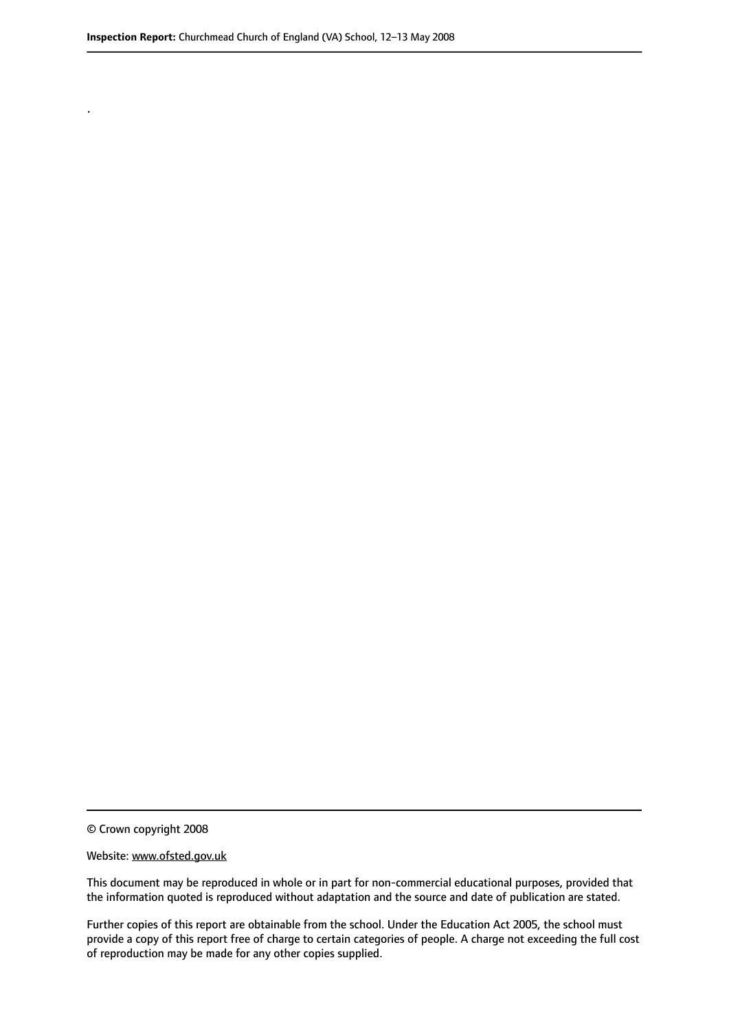.

© Crown copyright 2008

#### Website: www.ofsted.gov.uk

This document may be reproduced in whole or in part for non-commercial educational purposes, provided that the information quoted is reproduced without adaptation and the source and date of publication are stated.

Further copies of this report are obtainable from the school. Under the Education Act 2005, the school must provide a copy of this report free of charge to certain categories of people. A charge not exceeding the full cost of reproduction may be made for any other copies supplied.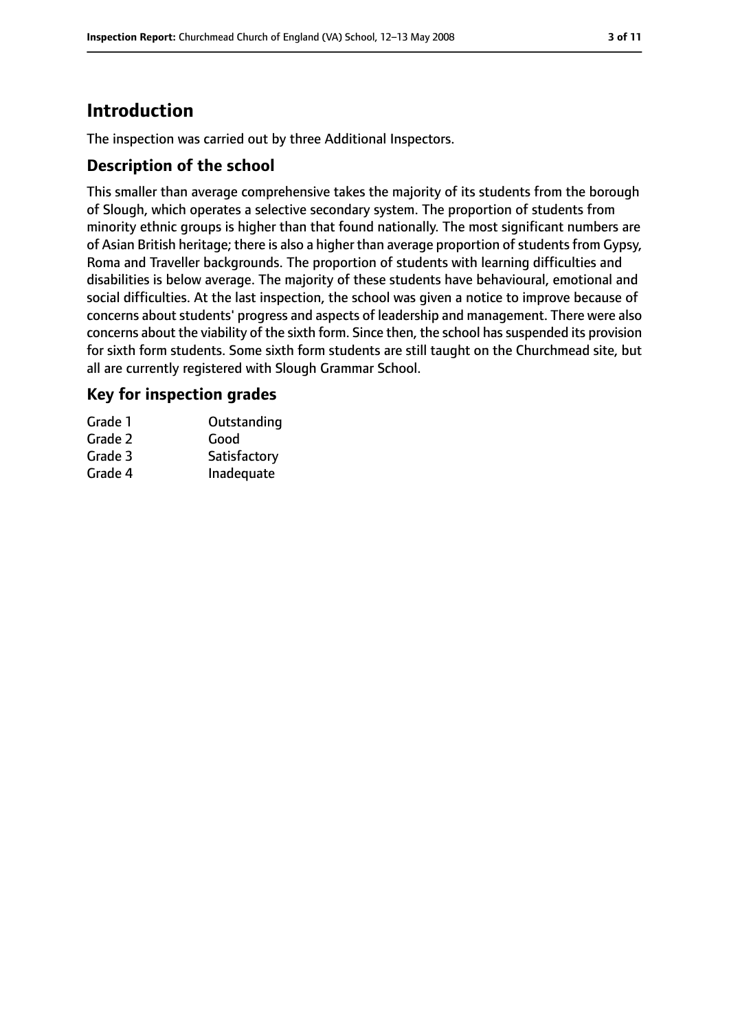# **Introduction**

The inspection was carried out by three Additional Inspectors.

### **Description of the school**

This smaller than average comprehensive takes the majority of its students from the borough of Slough, which operates a selective secondary system. The proportion of students from minority ethnic groups is higher than that found nationally. The most significant numbers are of Asian British heritage; there is also a higher than average proportion of students from Gypsy, Roma and Traveller backgrounds. The proportion of students with learning difficulties and disabilities is below average. The majority of these students have behavioural, emotional and social difficulties. At the last inspection, the school was given a notice to improve because of concerns about students' progress and aspects of leadership and management. There were also concerns about the viability of the sixth form. Since then, the school has suspended its provision for sixth form students. Some sixth form students are still taught on the Churchmead site, but all are currently registered with Slough Grammar School.

### **Key for inspection grades**

| Grade 1 | Outstanding  |
|---------|--------------|
| Grade 2 | Good         |
| Grade 3 | Satisfactory |
| Grade 4 | Inadequate   |
|         |              |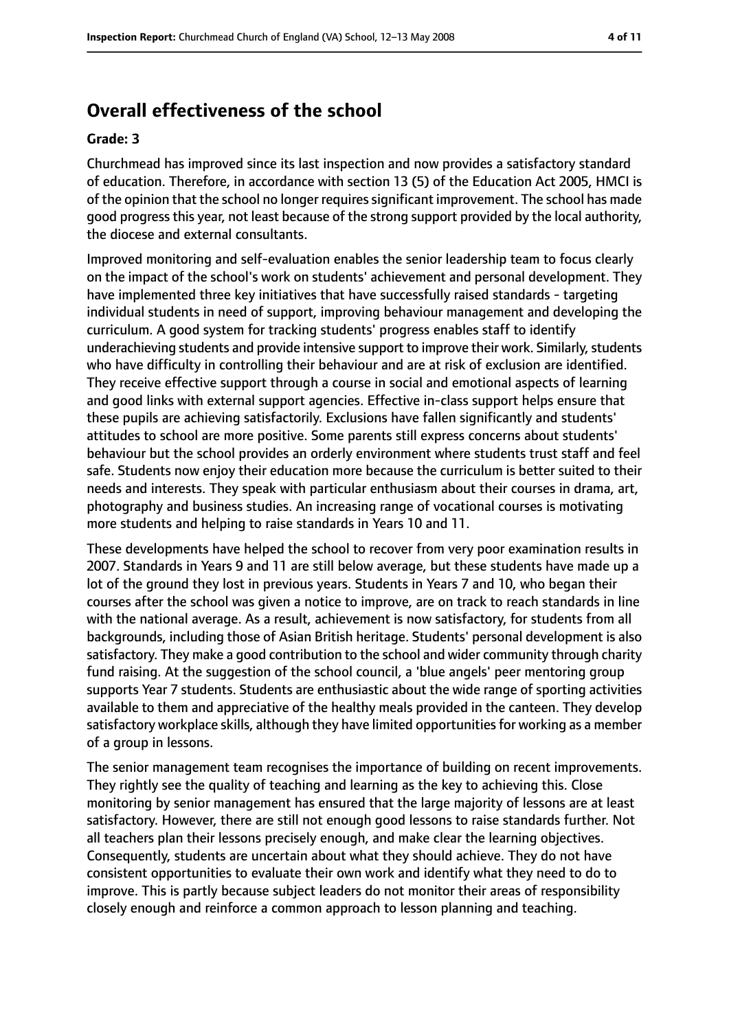# **Overall effectiveness of the school**

#### **Grade: 3**

Churchmead has improved since its last inspection and now provides a satisfactory standard of education. Therefore, in accordance with section 13 (5) of the Education Act 2005, HMCI is of the opinion that the school no longer requires significant improvement. The school has made good progress this year, not least because of the strong support provided by the local authority, the diocese and external consultants.

Improved monitoring and self-evaluation enables the senior leadership team to focus clearly on the impact of the school's work on students' achievement and personal development. They have implemented three key initiatives that have successfully raised standards - targeting individual students in need of support, improving behaviour management and developing the curriculum. A good system for tracking students' progress enables staff to identify underachieving students and provide intensive support to improve their work. Similarly, students who have difficulty in controlling their behaviour and are at risk of exclusion are identified. They receive effective support through a course in social and emotional aspects of learning and good links with external support agencies. Effective in-class support helps ensure that these pupils are achieving satisfactorily. Exclusions have fallen significantly and students' attitudes to school are more positive. Some parents still express concerns about students' behaviour but the school provides an orderly environment where students trust staff and feel safe. Students now enjoy their education more because the curriculum is better suited to their needs and interests. They speak with particular enthusiasm about their courses in drama, art, photography and business studies. An increasing range of vocational courses is motivating more students and helping to raise standards in Years 10 and 11.

These developments have helped the school to recover from very poor examination results in 2007. Standards in Years 9 and 11 are still below average, but these students have made up a lot of the ground they lost in previous years. Students in Years 7 and 10, who began their courses after the school was given a notice to improve, are on track to reach standards in line with the national average. As a result, achievement is now satisfactory, for students from all backgrounds, including those of Asian British heritage. Students' personal development is also satisfactory. They make a good contribution to the school and wider community through charity fund raising. At the suggestion of the school council, a 'blue angels' peer mentoring group supports Year 7 students. Students are enthusiastic about the wide range of sporting activities available to them and appreciative of the healthy meals provided in the canteen. They develop satisfactory workplace skills, although they have limited opportunities for working as a member of a group in lessons.

The senior management team recognises the importance of building on recent improvements. They rightly see the quality of teaching and learning as the key to achieving this. Close monitoring by senior management has ensured that the large majority of lessons are at least satisfactory. However, there are still not enough good lessons to raise standards further. Not all teachers plan their lessons precisely enough, and make clear the learning objectives. Consequently, students are uncertain about what they should achieve. They do not have consistent opportunities to evaluate their own work and identify what they need to do to improve. This is partly because subject leaders do not monitor their areas of responsibility closely enough and reinforce a common approach to lesson planning and teaching.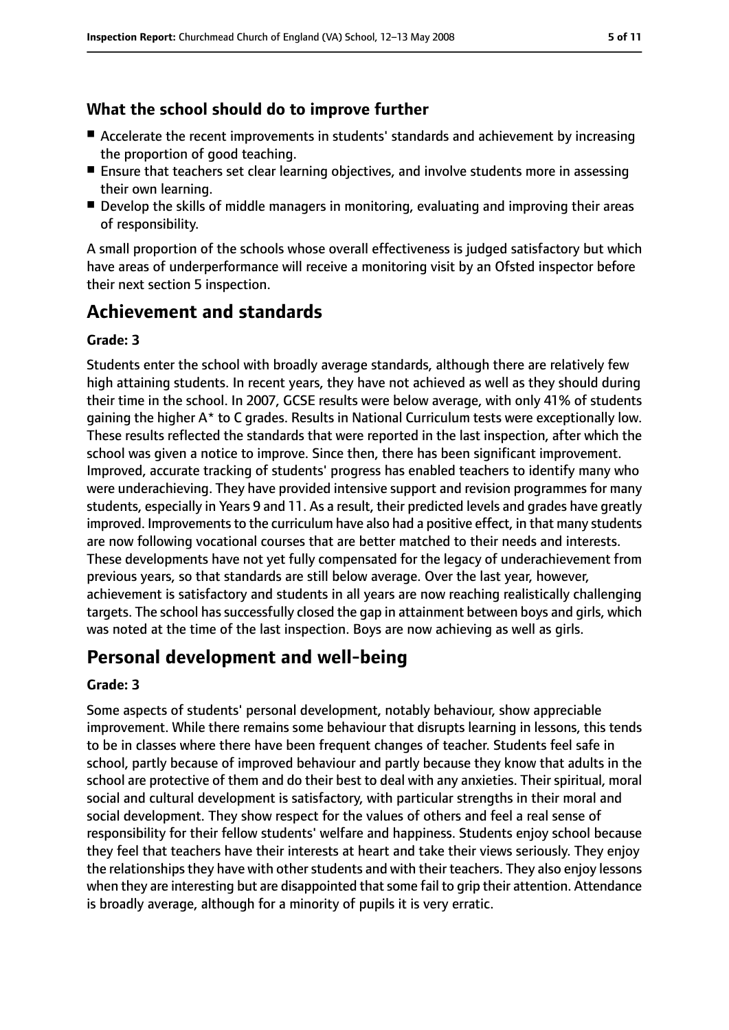## **What the school should do to improve further**

- Accelerate the recent improvements in students' standards and achievement by increasing the proportion of good teaching.
- Ensure that teachers set clear learning objectives, and involve students more in assessing their own learning.
- Develop the skills of middle managers in monitoring, evaluating and improving their areas of responsibility.

A small proportion of the schools whose overall effectiveness is judged satisfactory but which have areas of underperformance will receive a monitoring visit by an Ofsted inspector before their next section 5 inspection.

# **Achievement and standards**

### **Grade: 3**

Students enter the school with broadly average standards, although there are relatively few high attaining students. In recent years, they have not achieved as well as they should during their time in the school. In 2007, GCSE results were below average, with only 41% of students gaining the higher A\* to C grades. Results in National Curriculum tests were exceptionally low. These results reflected the standards that were reported in the last inspection, after which the school was given a notice to improve. Since then, there has been significant improvement. Improved, accurate tracking of students' progress has enabled teachers to identify many who were underachieving. They have provided intensive support and revision programmes for many students, especially in Years 9 and 11. As a result, their predicted levels and grades have greatly improved. Improvements to the curriculum have also had a positive effect, in that many students are now following vocational courses that are better matched to their needs and interests. These developments have not yet fully compensated for the legacy of underachievement from previous years, so that standards are still below average. Over the last year, however, achievement is satisfactory and students in all years are now reaching realistically challenging targets. The school has successfully closed the gap in attainment between boys and girls, which was noted at the time of the last inspection. Boys are now achieving as well as girls.

# **Personal development and well-being**

### **Grade: 3**

Some aspects of students' personal development, notably behaviour, show appreciable improvement. While there remains some behaviour that disrupts learning in lessons, this tends to be in classes where there have been frequent changes of teacher. Students feel safe in school, partly because of improved behaviour and partly because they know that adults in the school are protective of them and do their best to deal with any anxieties. Their spiritual, moral social and cultural development is satisfactory, with particular strengths in their moral and social development. They show respect for the values of others and feel a real sense of responsibility for their fellow students' welfare and happiness. Students enjoy school because they feel that teachers have their interests at heart and take their views seriously. They enjoy the relationships they have with other students and with their teachers. They also enjoy lessons when they are interesting but are disappointed that some fail to grip their attention. Attendance is broadly average, although for a minority of pupils it is very erratic.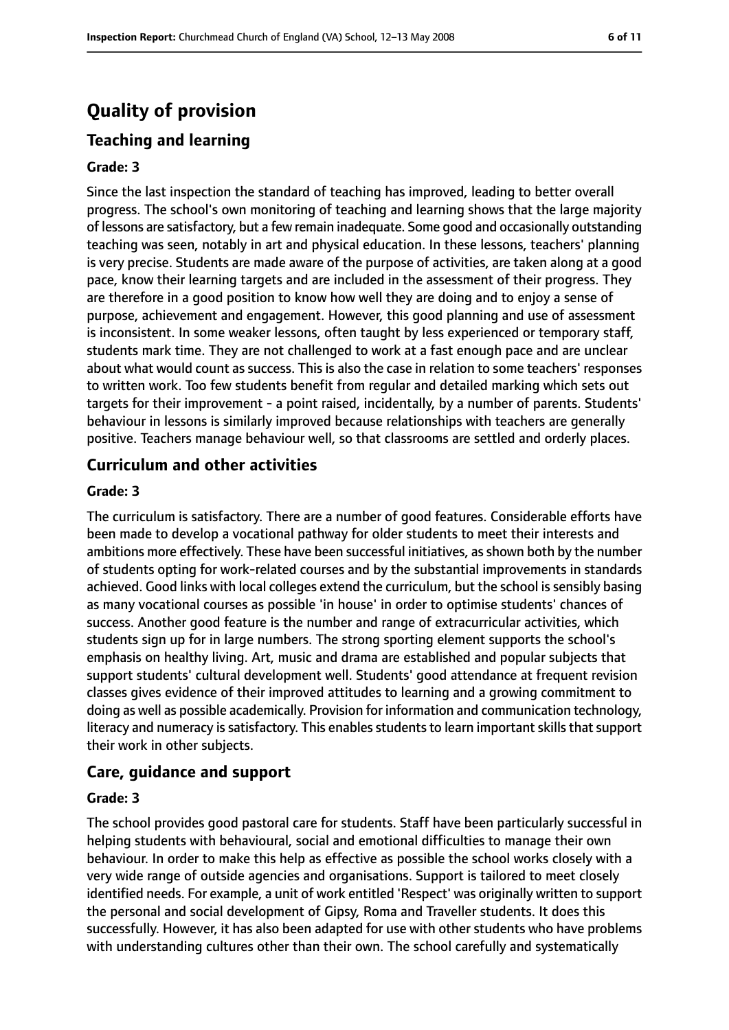# **Quality of provision**

## **Teaching and learning**

#### **Grade: 3**

Since the last inspection the standard of teaching has improved, leading to better overall progress. The school's own monitoring of teaching and learning shows that the large majority of lessons are satisfactory, but a few remain inadequate. Some good and occasionally outstanding teaching was seen, notably in art and physical education. In these lessons, teachers' planning is very precise. Students are made aware of the purpose of activities, are taken along at a good pace, know their learning targets and are included in the assessment of their progress. They are therefore in a good position to know how well they are doing and to enjoy a sense of purpose, achievement and engagement. However, this good planning and use of assessment is inconsistent. In some weaker lessons, often taught by less experienced or temporary staff, students mark time. They are not challenged to work at a fast enough pace and are unclear about what would count as success. This is also the case in relation to some teachers' responses to written work. Too few students benefit from regular and detailed marking which sets out targets for their improvement - a point raised, incidentally, by a number of parents. Students' behaviour in lessons is similarly improved because relationships with teachers are generally positive. Teachers manage behaviour well, so that classrooms are settled and orderly places.

### **Curriculum and other activities**

#### **Grade: 3**

The curriculum is satisfactory. There are a number of good features. Considerable efforts have been made to develop a vocational pathway for older students to meet their interests and ambitions more effectively. These have been successful initiatives, as shown both by the number of students opting for work-related courses and by the substantial improvements in standards achieved. Good links with local colleges extend the curriculum, but the school is sensibly basing as many vocational courses as possible 'in house' in order to optimise students' chances of success. Another good feature is the number and range of extracurricular activities, which students sign up for in large numbers. The strong sporting element supports the school's emphasis on healthy living. Art, music and drama are established and popular subjects that support students' cultural development well. Students' good attendance at frequent revision classes gives evidence of their improved attitudes to learning and a growing commitment to doing as well as possible academically. Provision for information and communication technology, literacy and numeracy is satisfactory. This enables students to learn important skills that support their work in other subjects.

## **Care, guidance and support**

#### **Grade: 3**

The school provides good pastoral care for students. Staff have been particularly successful in helping students with behavioural, social and emotional difficulties to manage their own behaviour. In order to make this help as effective as possible the school works closely with a very wide range of outside agencies and organisations. Support is tailored to meet closely identified needs. For example, a unit of work entitled 'Respect' was originally written to support the personal and social development of Gipsy, Roma and Traveller students. It does this successfully. However, it has also been adapted for use with other students who have problems with understanding cultures other than their own. The school carefully and systematically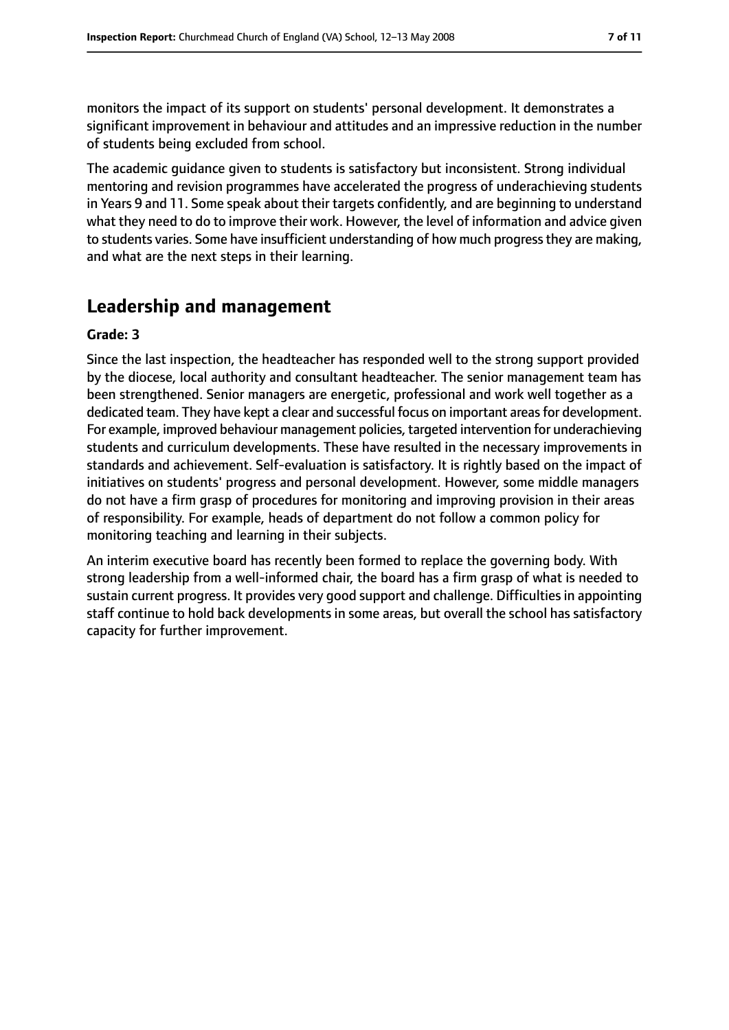monitors the impact of its support on students' personal development. It demonstrates a significant improvement in behaviour and attitudes and an impressive reduction in the number of students being excluded from school.

The academic guidance given to students is satisfactory but inconsistent. Strong individual mentoring and revision programmes have accelerated the progress of underachieving students in Years 9 and 11. Some speak about their targets confidently, and are beginning to understand what they need to do to improve their work. However, the level of information and advice given to students varies. Some have insufficient understanding of how much progress they are making, and what are the next steps in their learning.

# **Leadership and management**

#### **Grade: 3**

Since the last inspection, the headteacher has responded well to the strong support provided by the diocese, local authority and consultant headteacher. The senior management team has been strengthened. Senior managers are energetic, professional and work well together as a dedicated team. They have kept a clear and successful focus on important areas for development. For example, improved behaviour management policies, targeted intervention for underachieving students and curriculum developments. These have resulted in the necessary improvements in standards and achievement. Self-evaluation is satisfactory. It is rightly based on the impact of initiatives on students' progress and personal development. However, some middle managers do not have a firm grasp of procedures for monitoring and improving provision in their areas of responsibility. For example, heads of department do not follow a common policy for monitoring teaching and learning in their subjects.

An interim executive board has recently been formed to replace the governing body. With strong leadership from a well-informed chair, the board has a firm grasp of what is needed to sustain current progress. It provides very good support and challenge. Difficulties in appointing staff continue to hold back developments in some areas, but overall the school has satisfactory capacity for further improvement.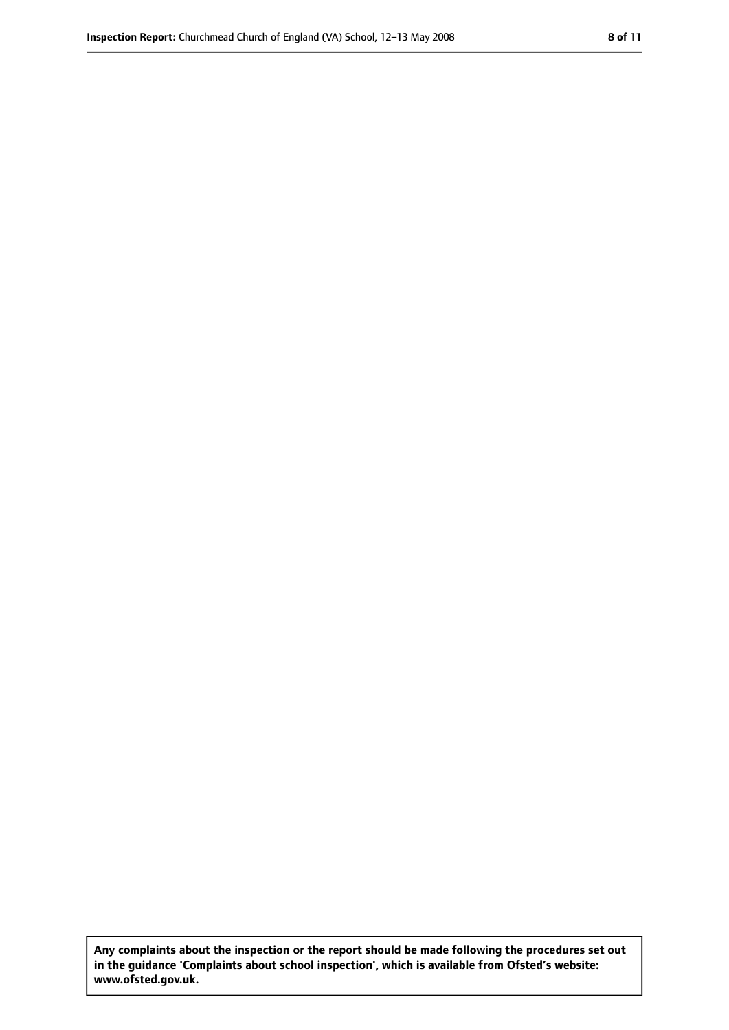**Any complaints about the inspection or the report should be made following the procedures set out in the guidance 'Complaints about school inspection', which is available from Ofsted's website: www.ofsted.gov.uk.**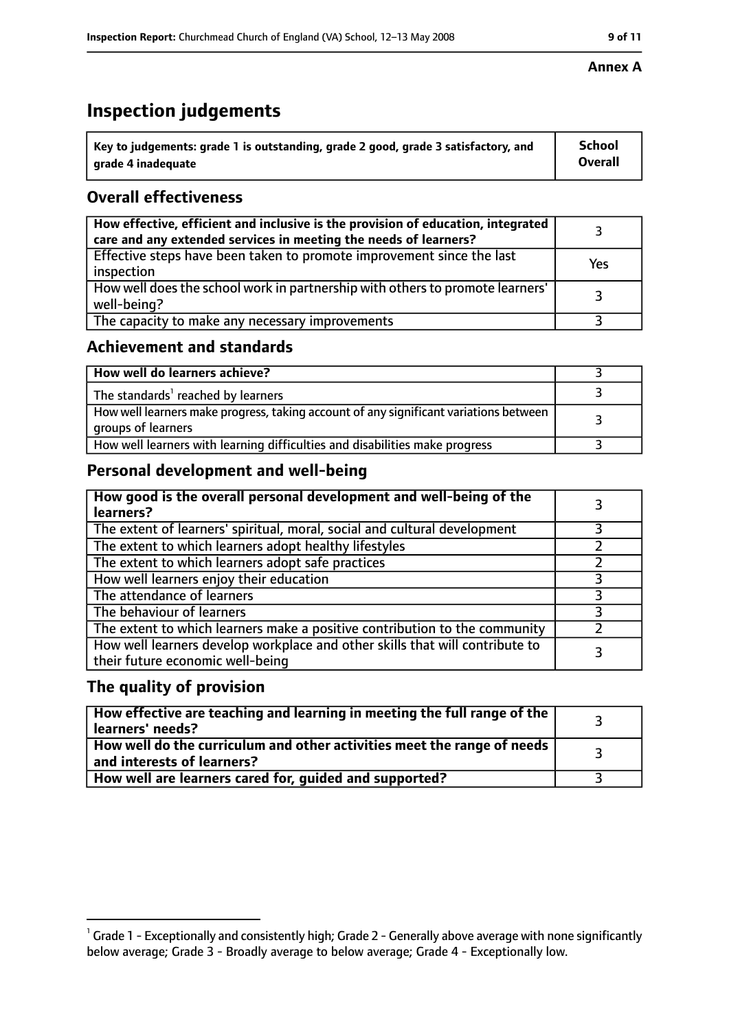# **Inspection judgements**

| $^{\backprime}$ Key to judgements: grade 1 is outstanding, grade 2 good, grade 3 satisfactory, and | <b>School</b>  |
|----------------------------------------------------------------------------------------------------|----------------|
| arade 4 inadeguate                                                                                 | <b>Overall</b> |

## **Overall effectiveness**

| How effective, efficient and inclusive is the provision of education, integrated<br>care and any extended services in meeting the needs of learners? |     |
|------------------------------------------------------------------------------------------------------------------------------------------------------|-----|
| Effective steps have been taken to promote improvement since the last<br>inspection                                                                  | Yes |
| How well does the school work in partnership with others to promote learners'<br>well-being?                                                         |     |
| The capacity to make any necessary improvements                                                                                                      |     |

## **Achievement and standards**

| How well do learners achieve?                                                                               |  |
|-------------------------------------------------------------------------------------------------------------|--|
| The standards <sup>1</sup> reached by learners                                                              |  |
| How well learners make progress, taking account of any significant variations between<br>groups of learners |  |
| How well learners with learning difficulties and disabilities make progress                                 |  |

# **Personal development and well-being**

| How good is the overall personal development and well-being of the<br>learners?                                  |   |
|------------------------------------------------------------------------------------------------------------------|---|
| The extent of learners' spiritual, moral, social and cultural development                                        |   |
| The extent to which learners adopt healthy lifestyles                                                            |   |
| The extent to which learners adopt safe practices                                                                |   |
| How well learners enjoy their education                                                                          |   |
| The attendance of learners                                                                                       | 3 |
| The behaviour of learners                                                                                        |   |
| The extent to which learners make a positive contribution to the community                                       |   |
| How well learners develop workplace and other skills that will contribute to<br>their future economic well-being |   |

## **The quality of provision**

| $\mid$ How effective are teaching and learning in meeting the full range of the $\mid$<br>learners' needs? |  |
|------------------------------------------------------------------------------------------------------------|--|
| How well do the curriculum and other activities meet the range of needs  <br>and interests of learners?    |  |
| How well are learners cared for, guided and supported?                                                     |  |

### **Annex A**

 $^1$  Grade 1 - Exceptionally and consistently high; Grade 2 - Generally above average with none significantly below average; Grade 3 - Broadly average to below average; Grade 4 - Exceptionally low.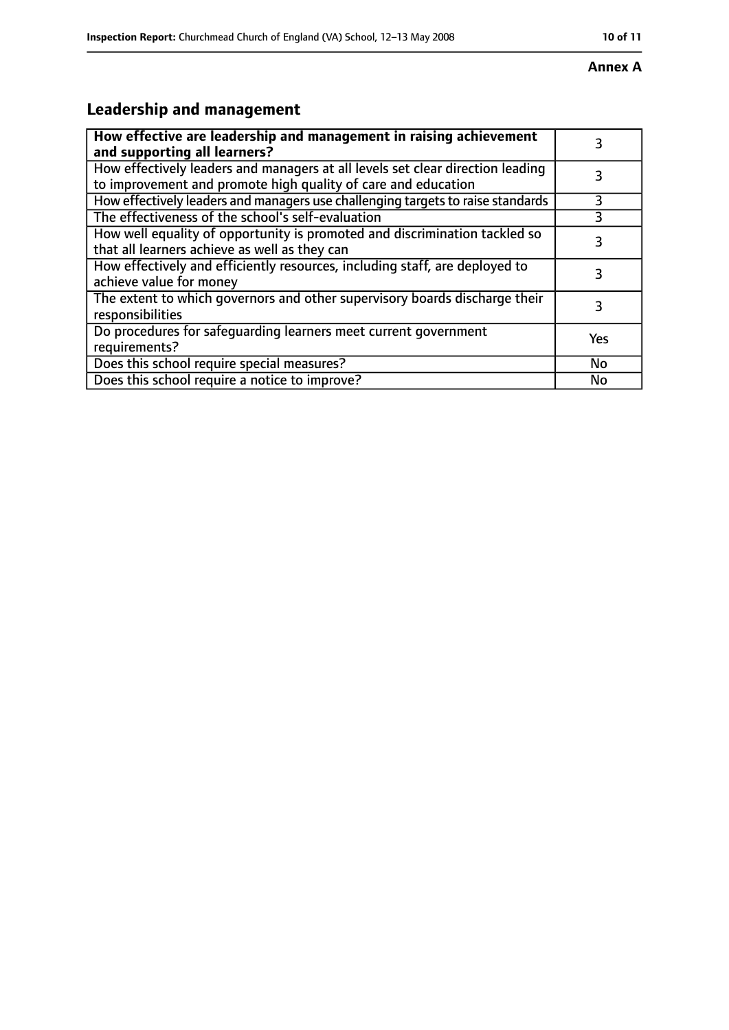#### **Annex A**

# **Leadership and management**

| How effective are leadership and management in raising achievement<br>and supporting all learners?                                              | 3         |
|-------------------------------------------------------------------------------------------------------------------------------------------------|-----------|
| How effectively leaders and managers at all levels set clear direction leading<br>to improvement and promote high quality of care and education |           |
| How effectively leaders and managers use challenging targets to raise standards                                                                 | 3         |
| The effectiveness of the school's self-evaluation                                                                                               | 3         |
| How well equality of opportunity is promoted and discrimination tackled so<br>that all learners achieve as well as they can                     | 3         |
| How effectively and efficiently resources, including staff, are deployed to<br>achieve value for money                                          | 3         |
| The extent to which governors and other supervisory boards discharge their<br>responsibilities                                                  | 3         |
| Do procedures for safequarding learners meet current government<br>requirements?                                                                | Yes       |
| Does this school require special measures?                                                                                                      | <b>No</b> |
| Does this school require a notice to improve?                                                                                                   | No        |